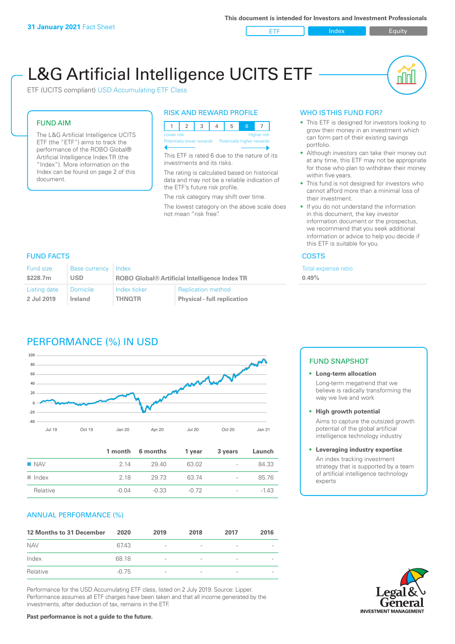ETF Index Buity

nl Inl

# L&G Artificial Intelligence UCITS ETF

ETF (UCITS compliant) USD Accumulating ETF Class

# FUND AIM

The L&G Artificial Intelligence UCITS ETF (the "ETF") aims to track the performance of the ROBO Global® Artificial Intelligence Index TR (the "Index"). More information on the Index can be found on page 2 of this document.

# RISK AND REWARD PROFILE



This ETF is rated 6 due to the nature of its investments and its risks.

The rating is calculated based on historical data and may not be a reliable indication of the ETF's future risk profile.

The risk category may shift over time.

The lowest category on the above scale does not mean "risk free".

# WHO IS THIS FUND FOR?

- This ETF is designed for investors looking to grow their money in an investment which can form part of their existing savings portfolio.
- Although investors can take their money out at any time, this ETF may not be appropriate for those who plan to withdraw their money within five years.
- This fund is not designed for investors who cannot afford more than a minimal loss of their investment.
- If you do not understand the information in this document, the key investor information document or the prospectus, we recommend that you seek additional information or advice to help you decide if this ETF is suitable for you.

**0.49%**

Total expense ratio

# FUND FACTS COSTS

| <b>Fund size</b> | <b>Base currency</b> | <b>I</b> Index                                       |                                    |  |
|------------------|----------------------|------------------------------------------------------|------------------------------------|--|
| \$228.7m         | <b>USD</b>           | <b>ROBO Global® Artificial Intelligence Index TR</b> |                                    |  |
| Listing date     | <b>Domicile</b>      | Index ticker                                         | <b>Replication method</b>          |  |
| 2 Jul 2019       | Ireland              | <b>THNOTR</b>                                        | <b>Physical - full replication</b> |  |

# PERFORMANCE (%) IN USD



|                      |       | 1 month 6 months | 1 year | 3 years                  | Launch |
|----------------------|-------|------------------|--------|--------------------------|--------|
| $\blacksquare$ NAV   | 2 14  | 29.40            | 63.02  | $\overline{\phantom{a}}$ | 84.33  |
| $\blacksquare$ Index | 2 18  | 29.73            | 63 74  | $\overline{\phantom{0}}$ | 85.76  |
| Relative             | -0.04 | $-0.33$          | -0.72  | $\overline{\phantom{a}}$ | $-143$ |

# ANNUAL PERFORMANCE (%)

| 12 Months to 31 December | 2020    | 2019                     | 2018 | 2017            | 2016 |
|--------------------------|---------|--------------------------|------|-----------------|------|
| <b>NAV</b>               | 67.43   | $\overline{\phantom{a}}$ |      | ۰               |      |
| Index                    | 68.18   | $\overline{\phantom{a}}$ |      | $\qquad \qquad$ |      |
| Relative                 | $-0.75$ | $\overline{\phantom{a}}$ |      |                 |      |

Performance for the USD Accumulating ETF class, listed on 2 July 2019. Source: Lipper. Performance assumes all ETF charges have been taken and that all income generated by the investments, after deduction of tax, remains in the ETF.

# FUND SNAPSHOT

**• Long-term allocation** Long-term megatrend that we believe is radically transforming the way we live and work

**• High growth potential**

Aims to capture the outsized growth potential of the global artificial intelligence technology industry

# **• Leveraging industry expertise** An index tracking investment

strategy that is supported by a team of artificial intelligence technology experts

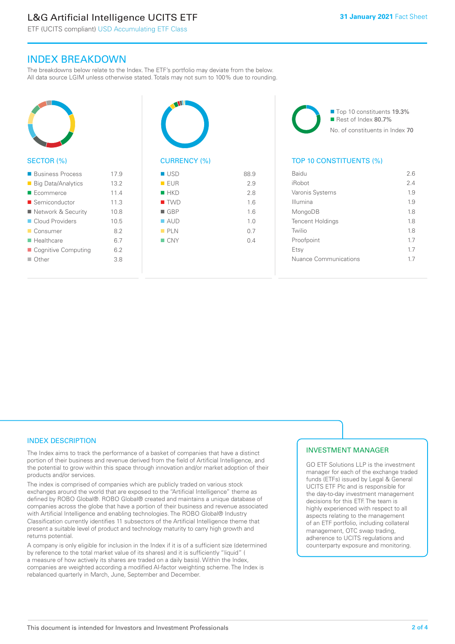# L&G Artificial Intelligence UCITS ETF

 $17.9$ 

ETF (UCITS compliant) USD Accumulating ETF Class

# INDEX BREAKDOWN

The breakdowns below relate to the Index. The ETF's portfolio may deviate from the below. All data source LGIM unless otherwise stated. Totals may not sum to 100% due to rounding.

| <b>SECTOR (%)</b>                                 |
|---------------------------------------------------|
| ■ Business Process<br>$\Box$ Dia Data (Assalation |

| ■ Big Data/Analytics      | 13.2 |
|---------------------------|------|
| $\blacksquare$ Ecommerce  | 11.4 |
| ■ Semiconductor           | 11.3 |
| ■ Network & Security      | 10.8 |
| Cloud Providers           | 10.5 |
| ■ Consumer                | 82   |
| $\blacksquare$ Healthcare | 67   |
| Cognitive Computing       | 62   |
| $\Box$ Other              | 3.8  |
|                           |      |



# $\blacksquare$  USD 88.9  $R = F \cup R$  2.9  $HKN$  2.8  $\blacksquare$  TWD  $1.6$  $\blacksquare$  GRP 1.6  $\blacksquare$  AUD  $1.0$  $n$  PLN 0.7  $N = CNY$  0.4

■ Top 10 constituents 19.3% Rest of Index 80.7% No. of constituents in Index 70

# TOP 10 CONSTITUENTS (%)

| Baidu                   | 26  |
|-------------------------|-----|
| iRobot                  | 2.4 |
| Varonis Systems         | 1.9 |
| Illumina                | 1.9 |
| MongoDB                 | 18  |
| <b>Tencent Holdings</b> | 1.8 |
| Twilio                  | 1.8 |
| Proofpoint              | 1.7 |
| Etsy                    | 17  |
| Nuance Communications   | 17  |
|                         |     |

# INDEX DESCRIPTION

The Index aims to track the performance of a basket of companies that have a distinct portion of their business and revenue derived from the field of Artificial Intelligence, and the potential to grow within this space through innovation and/or market adoption of their products and/or services.

The index is comprised of companies which are publicly traded on various stock exchanges around the world that are exposed to the "Artificial Intelligence" theme as defined by ROBO Global®. ROBO Global® created and maintains a unique database of companies across the globe that have a portion of their business and revenue associated with Artificial Intelligence and enabling technologies. The ROBO Global® Industry Classification currently identifies 11 subsectors of the Artificial Intelligence theme that present a suitable level of product and technology maturity to carry high growth and returns potential.

A company is only eligible for inclusion in the Index if it is of a sufficient size (determined by reference to the total market value of its shares) and it is sufficiently "liquid" ( a measure of how actively its shares are traded on a daily basis). Within the Index, companies are weighted according a modified AI-factor weighting scheme. The Index is rebalanced quarterly in March, June, September and December.

# INVESTMENT MANAGER

GO ETF Solutions LLP is the investment manager for each of the exchange traded funds (ETFs) issued by Legal & General UCITS ETF Plc and is responsible for the day-to-day investment management decisions for this ETF. The team is highly experienced with respect to all aspects relating to the management of an ETF portfolio, including collateral management, OTC swap trading, adherence to UCITS regulations and counterparty exposure and monitoring.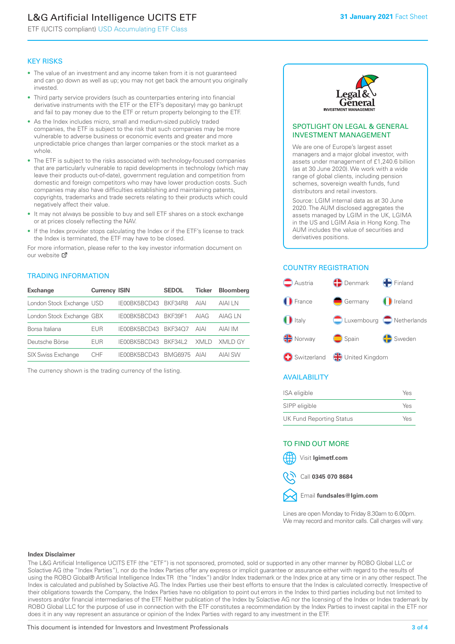# L&G Artificial Intelligence UCITS ETF

ETF (UCITS compliant) USD Accumulating ETF Class

## KEY RISKS

- The value of an investment and any income taken from it is not guaranteed and can go down as well as up; you may not get back the amount you originally invested.
- Third party service providers (such as counterparties entering into financial derivative instruments with the ETF or the ETF's depositary) may go bankrupt and fail to pay money due to the ETF or return property belonging to the ETF.
- As the Index includes micro, small and medium-sized publicly traded companies, the ETF is subject to the risk that such companies may be more vulnerable to adverse business or economic events and greater and more unpredictable price changes than larger companies or the stock market as a whole.
- The ETF is subject to the risks associated with technology-focused companies that are particularly vulnerable to rapid developments in technology (which may leave their products out-of-date), government regulation and competition from domestic and foreign competitors who may have lower production costs. Such companies may also have difficulties establishing and maintaining patents, copyrights, trademarks and trade secrets relating to their products which could negatively affect their value.
- It may not always be possible to buy and sell ETF shares on a stock exchange or at prices closely reflecting the NAV.
- If the Index provider stops calculating the Index or if the ETF's license to track the Index is terminated, the ETF may have to be closed.

For more in[form](https://www.lgimetf.com/)ation, please refer to the key investor information document on our website Ø

# TRADING INFORMATION

| <b>Exchange</b>           | <b>Currency ISIN</b> |                      | <b>SEDOL</b>   | Ticker      | <b>Bloomberg</b> |
|---------------------------|----------------------|----------------------|----------------|-------------|------------------|
| London Stock Exchange USD |                      | IE00BK5BCD43 BKF34R8 |                | <b>AIAI</b> | AIAI I N         |
| London Stock Exchange GBX |                      | IE00BK5BCD43 BKF39F1 |                | AIAG        | AIAG I N         |
| Borsa Italiana            | EUR                  | IE00BK5BCD43 BKF34O7 |                | <b>AIAI</b> | AIAI IM          |
| Deutsche Börse            | EUR                  | IE00BK5BCD43 BKF34L2 |                | XMI D       | XMI D GY         |
| <b>SIX Swiss Exchange</b> | CHE                  | IE00BK5BCD43         | <b>BMG6975</b> | AIAI        | <b>AIAI SW</b>   |

The currency shown is the trading currency of the listing.



#### SPOTLIGHT ON LEGAL & GENERAL INVESTMENT MANAGEMENT

We are one of Europe's largest asset managers and a major global investor, with assets under management of £1,240.6 billion (as at 30 June 2020). We work with a wide range of global clients, including pension schemes, sovereign wealth funds, fund distributors and retail investors.

Source: LGIM internal data as at 30 June 2020. The AUM disclosed aggregates the assets managed by LGIM in the UK, LGIMA in the US and LGIM Asia in Hong Kong. The AUM includes the value of securities and derivatives positions.

## COUNTRY REGISTRATION



# AVAILABILITY

| ISA eligible                    | Yes |
|---------------------------------|-----|
| SIPP eligible                   | Yes |
| <b>UK Fund Reporting Status</b> | Yes |

# TO FIND OUT MORE

Visit **lgimetf.com**



Call **0345 070 8684**



Lines are open Monday to Friday 8.30am to 6.00pm. We may record and monitor calls. Call charges will vary.

#### **Index Disclaimer**

The L&G Artificial Intelligence UCITS ETF (the "ETF") is not sponsored, promoted, sold or supported in any other manner by ROBO Global LLC or Solactive AG (the "Index Parties"), nor do the Index Parties offer any express or implicit guarantee or assurance either with regard to the results of using the ROBO Global® Artificial Intelligence Index TR (the "Index") and/or Index trademark or the Index price at any time or in any other respect. The Index is calculated and published by Solactive AG. The Index Parties use their best efforts to ensure that the Index is calculated correctly. Irrespective of their obligations towards the Company, the Index Parties have no obligation to point out errors in the Index to third parties including but not limited to investors and/or financial intermediaries of the ETF. Neither publication of the Index by Solactive AG nor the licensing of the Index or Index trademark by ROBO Global LLC for the purpose of use in connection with the ETF constitutes a recommendation by the Index Parties to invest capital in the ETF nor does it in any way represent an assurance or opinion of the Index Parties with regard to any investment in the ETF.